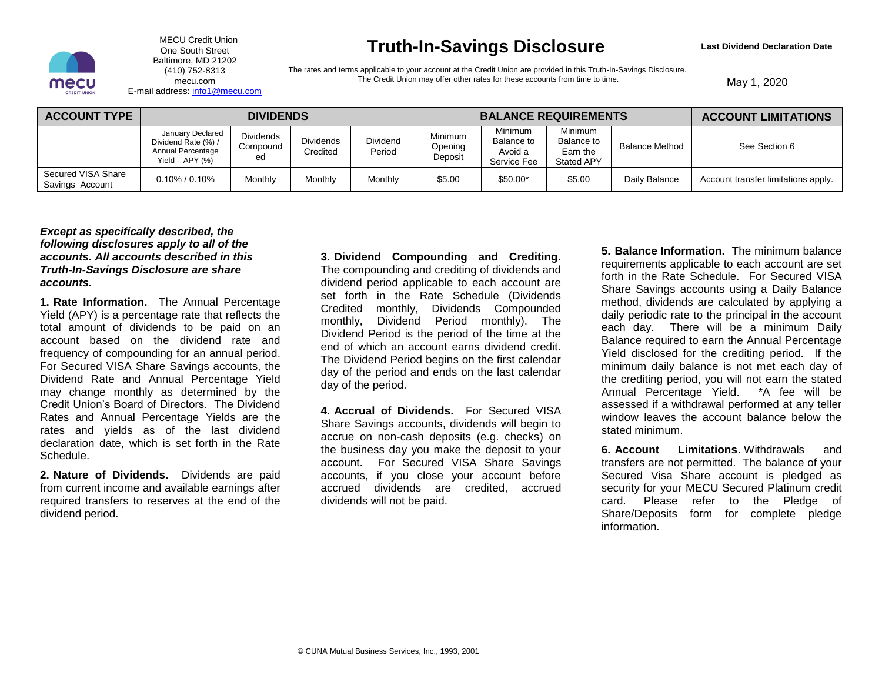

MECU Credit Union One South Street Baltimore, MD 21202 (410) 752-8313 mecu.com E-mail address: [info1@mecu.com](mailto:info1@mecu.com)

## **Truth-In-Savings Disclosure**

**Last Dividend Declaration Date** 

The rates and terms applicable to your account at the Credit Union are provided in this Truth-In-Savings Disclosure. The Credit Union may offer other rates for these accounts from time to time.

May 1, 2020

| <b>ACCOUNT TYPE</b>                   | <b>DIVIDENDS</b>                                                                    |                                    |                              |                    | <b>BALANCE REQUIREMENTS</b>   |                                                 |                                                        |                       | <b>ACCOUNT LIMITATIONS</b>          |
|---------------------------------------|-------------------------------------------------------------------------------------|------------------------------------|------------------------------|--------------------|-------------------------------|-------------------------------------------------|--------------------------------------------------------|-----------------------|-------------------------------------|
|                                       | January Declared<br>Dividend Rate (%) /<br>Annual Percentage<br>Yield $-$ APY $(%)$ | <b>Dividends</b><br>Compound<br>ed | <b>Dividends</b><br>Credited | Dividend<br>Period | Minimum<br>Opening<br>Deposit | Minimum<br>Balance to<br>Avoid a<br>Service Fee | <b>Minimum</b><br>Balance to<br>Earn the<br>Stated APY | <b>Balance Method</b> | See Section 6                       |
| Secured VISA Share<br>Savings Account | $0.10\%$ / $0.10\%$                                                                 | Monthly                            | Monthly                      | Monthly            | \$5.00                        | \$50.00*                                        | \$5.00                                                 | Daily Balance         | Account transfer limitations apply. |

## *Except as specifically described, the following disclosures apply to all of the accounts. All accounts described in this Truth-In-Savings Disclosure are share accounts.*

**1. Rate Information.** The Annual Percentage Yield (APY) is a percentage rate that reflects the total amount of dividends to be paid on an account based on the dividend rate and frequency of compounding for an annual period. For Secured VISA Share Savings accounts, the Dividend Rate and Annual Percentage Yield may change monthly as determined by the Credit Union's Board of Directors. The Dividend Rates and Annual Percentage Yields are the rates and yields as of the last dividend declaration date, which is set forth in the Rate Schedule.

**2. Nature of Dividends.** Dividends are paid from current income and available earnings after required transfers to reserves at the end of the dividend period.

**3. Dividend Compounding and Crediting.** The compounding and crediting of dividends and dividend period applicable to each account are set forth in the Rate Schedule (Dividends Credited monthly, Dividends Compounded monthly, Dividend Period monthly). The Dividend Period is the period of the time at the end of which an account earns dividend credit. The Dividend Period begins on the first calendar day of the period and ends on the last calendar day of the period.

**4. Accrual of Dividends.** For Secured VISA Share Savings accounts, dividends will begin to accrue on non-cash deposits (e.g. checks) on the business day you make the deposit to your account. For Secured VISA Share Savings accounts, if you close your account before accrued dividends are credited, accrued dividends will not be paid.

**5. Balance Information.** The minimum balance requirements applicable to each account are set forth in the Rate Schedule. For Secured VISA Share Savings accounts using a Daily Balance method, dividends are calculated by applying a daily periodic rate to the principal in the account each day. There will be a minimum Daily Balance required to earn the Annual Percentage Yield disclosed for the crediting period. If the minimum daily balance is not met each day of the crediting period, you will not earn the stated Annual Percentage Yield. \*A fee will be assessed if a withdrawal performed at any teller window leaves the account balance below the stated minimum.

**6. Account Limitations**. Withdrawals and transfers are not permitted. The balance of your Secured Visa Share account is pledged as security for your MECU Secured Platinum credit card. Please refer to the Pledge of Share/Deposits form for complete pledge information.